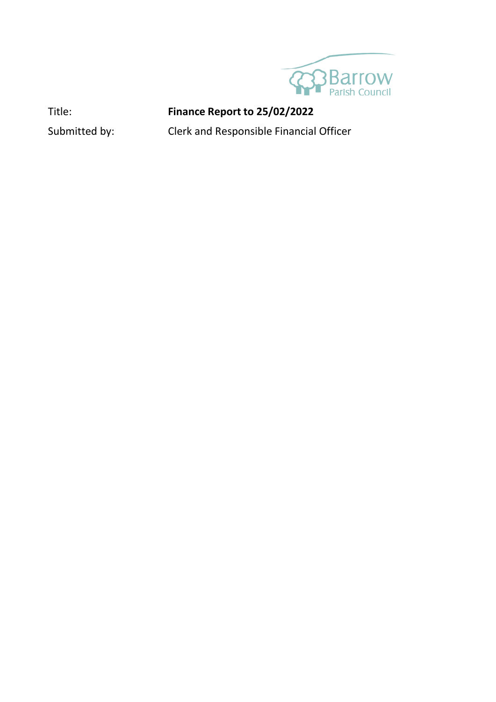

## Title: **Finance Report to 25/02/2022**

Submitted by: Clerk and Responsible Financial Officer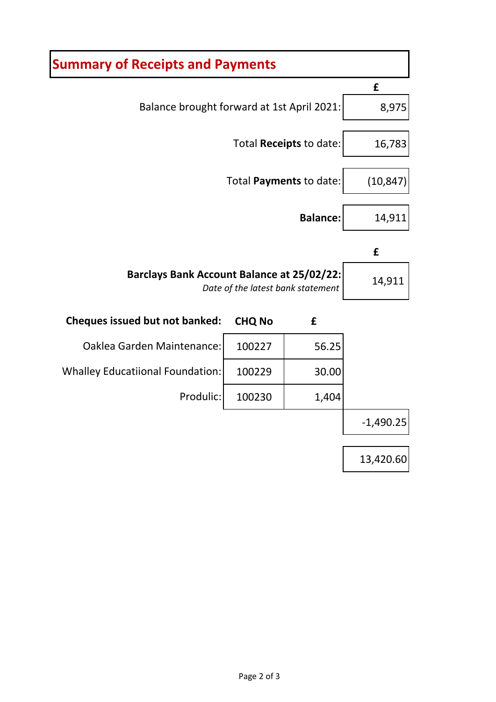